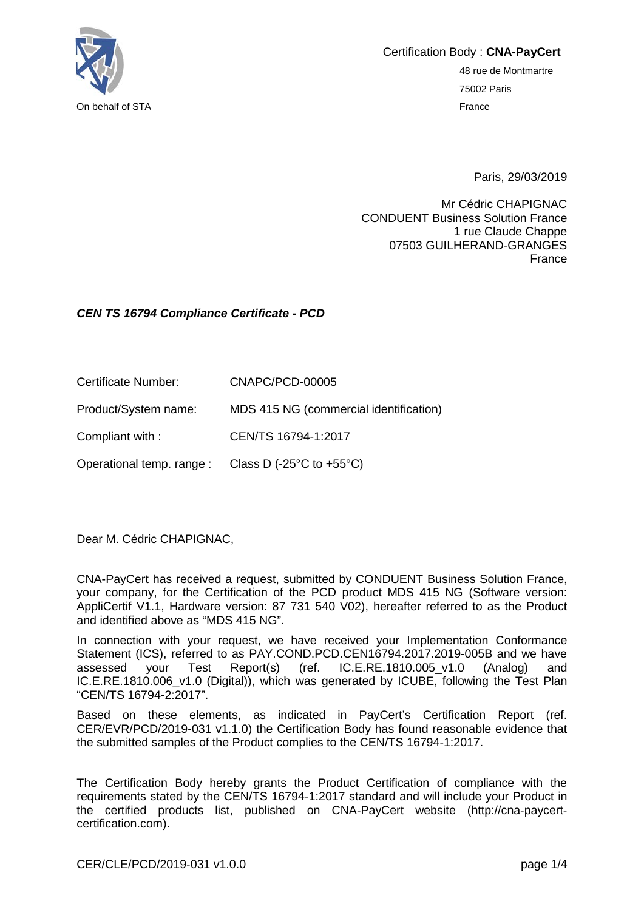

Certification Body : **CNA-PayCert** 48 rue de Montmartre

75002 Paris

Paris, 29/03/2019

Mr Cédric CHAPIGNAC CONDUENT Business Solution France 1 rue Claude Chappe 07503 GUILHERAND-GRANGES France

## *CEN TS 16794 Compliance Certificate - PCD*

Certificate Number: CNAPC/PCD-00005

Product/System name: MDS 415 NG (commercial identification)

Compliant with : CEN/TS 16794-1:2017

Operational temp. range : Class D (-25°C to +55°C)

Dear M. Cédric CHAPIGNAC,

CNA-PayCert has received a request, submitted by CONDUENT Business Solution France, your company, for the Certification of the PCD product MDS 415 NG (Software version: AppliCertif V1.1, Hardware version: 87 731 540 V02), hereafter referred to as the Product and identified above as "MDS 415 NG".

In connection with your request, we have received your Implementation Conformance Statement (ICS), referred to as PAY.COND.PCD.CEN16794.2017.2019-005B and we have assessed your Test Report(s) (ref. IC.E.RE.1810.005\_v1.0 (Analog) and IC.E.RE.1810.006 v1.0 (Digital)), which was generated by ICUBE, following the Test Plan "CEN/TS 16794-2:2017".

Based on these elements, as indicated in PayCert's Certification Report (ref. CER/EVR/PCD/2019-031 v1.1.0) the Certification Body has found reasonable evidence that the submitted samples of the Product complies to the CEN/TS 16794-1:2017.

The Certification Body hereby grants the Product Certification of compliance with the requirements stated by the CEN/TS 16794-1:2017 standard and will include your Product in the certified products list, published on CNA-PayCert website (http://cna-paycertcertification.com).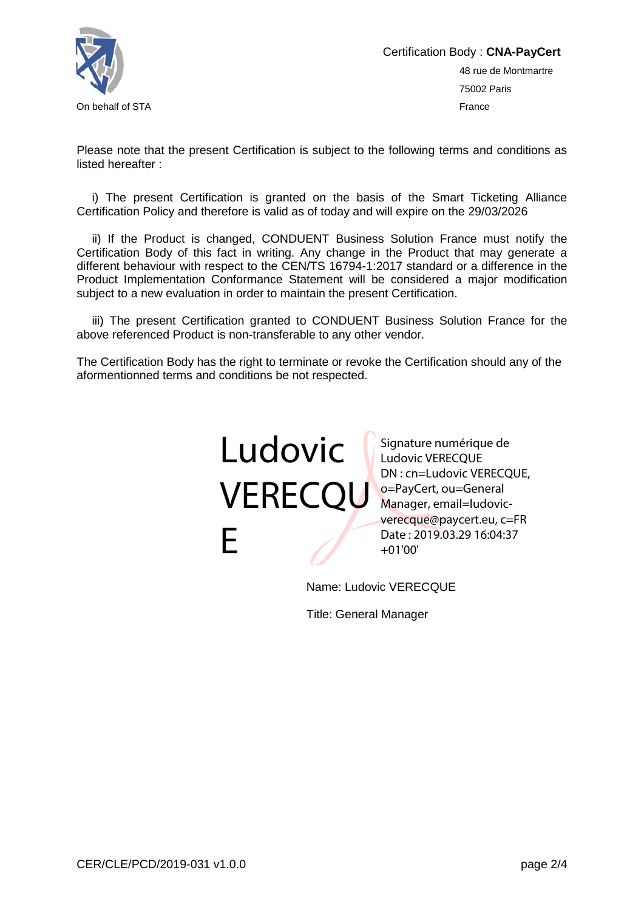

Please note that the present Certification is subject to the following terms and conditions as listed hereafter :

i) The present Certification is granted on the basis of the Smart Ticketing Alliance Certification Policy and therefore is valid as of today and will expire on the 29/03/2026

ii) If the Product is changed, CONDUENT Business Solution France must notify the Certification Body of this fact in writing. Any change in the Product that may generate a different behaviour with respect to the CEN/TS 16794-1:2017 standard or a difference in the Product Implementation Conformance Statement will be considered a major modification subject to a new evaluation in order to maintain the present Certification.

iii) The present Certification granted to CONDUENT Business Solution France for the above referenced Product is non-transferable to any other vendor.

The Certification Body has the right to terminate or revoke the Certification should any of the aformentionned terms and conditions be not respected.



Signature numérique de Ludovic VERECQUE DN : cn=Ludovic VERECQUE, Manager, email=ludovicverecque@paycert.eu, c=FR Date : 2019.03.29 16:04:37 +01'00'

Name: Ludovic VERECQUE

Title: General Manager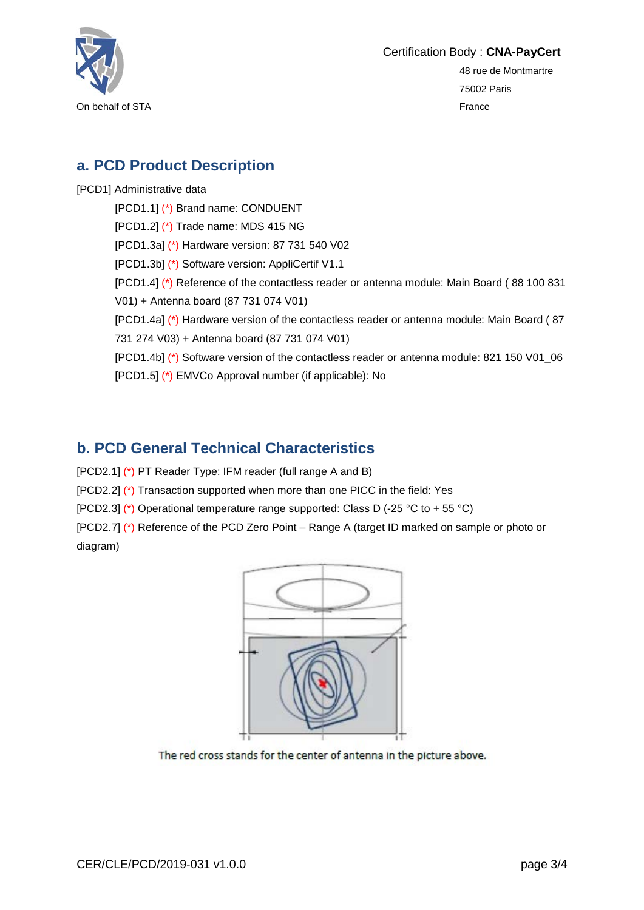

Certification Body : **CNA-PayCert**

48 rue de Montmartre 75002 Paris

## **a. PCD Product Description**

[PCD1] Administrative data

[PCD1.1] (\*) Brand name: CONDUENT [PCD1.2] (\*) Trade name: MDS 415 NG [PCD1.3a] (\*) Hardware version: 87 731 540 V02 [PCD1.3b] (\*) Software version: AppliCertif V1.1 [PCD1.4] (\*) Reference of the contactless reader or antenna module: Main Board ( 88 100 831 V01) + Antenna board (87 731 074 V01) [PCD1.4a] (\*) Hardware version of the contactless reader or antenna module: Main Board ( 87 731 274 V03) + Antenna board (87 731 074 V01) [PCD1.4b] (\*) Software version of the contactless reader or antenna module: 821 150 V01\_06 [PCD1.5] (\*) EMVCo Approval number (if applicable): No

## **b. PCD General Technical Characteristics**

[PCD2.1] (\*) PT Reader Type: IFM reader (full range A and B)

[PCD2.2] (\*) Transaction supported when more than one PICC in the field: Yes

[PCD2.3] (\*) Operational temperature range supported: Class D (-25 °C to + 55 °C)

[PCD2.7] (\*) Reference of the PCD Zero Point – Range A (target ID marked on sample or photo or diagram)



The red cross stands for the center of antenna in the picture above.